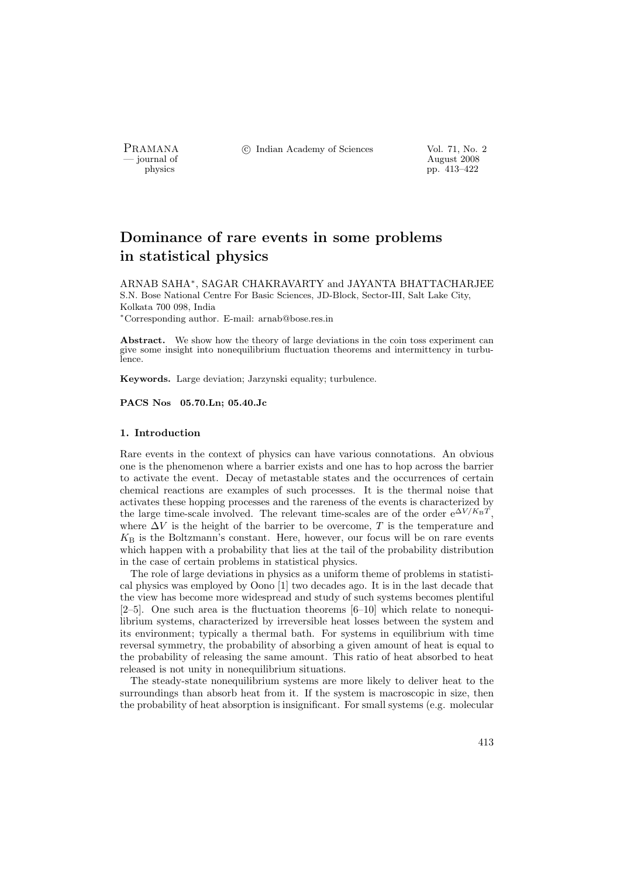PRAMANA °c Indian Academy of Sciences Vol. 71, No. 2

physics and the contract of the contract of the contract of the contract of the contract of the contract of the contract of the contract of the contract of the contract of the contract of the contract of the contract of th pp. 413–422

# Dominance of rare events in some problems in statistical physics

ARNAB SAHA<sup>∗</sup> , SAGAR CHAKRAVARTY and JAYANTA BHATTACHARJEE S.N. Bose National Centre For Basic Sciences, JD-Block, Sector-III, Salt Lake City, Kolkata 700 098, India

<sup>∗</sup>Corresponding author. E-mail: arnab@bose.res.in

Abstract. We show how the theory of large deviations in the coin toss experiment can give some insight into nonequilibrium fluctuation theorems and intermittency in turbulence.

Keywords. Large deviation; Jarzynski equality; turbulence.

PACS Nos 05.70.Ln; 05.40.Jc

## 1. Introduction

Rare events in the context of physics can have various connotations. An obvious one is the phenomenon where a barrier exists and one has to hop across the barrier to activate the event. Decay of metastable states and the occurrences of certain chemical reactions are examples of such processes. It is the thermal noise that activates these hopping processes and the rareness of the events is characterized by the large time-scale involved. The relevant time-scales are of the order  $e^{\Delta V/K_B T}$ , where  $\Delta V$  is the height of the barrier to be overcome, T is the temperature and  $K_{\rm B}$  is the Boltzmann's constant. Here, however, our focus will be on rare events which happen with a probability that lies at the tail of the probability distribution in the case of certain problems in statistical physics.

The role of large deviations in physics as a uniform theme of problems in statistical physics was employed by Oono [1] two decades ago. It is in the last decade that the view has become more widespread and study of such systems becomes plentiful [2–5]. One such area is the fluctuation theorems [6–10] which relate to nonequilibrium systems, characterized by irreversible heat losses between the system and its environment; typically a thermal bath. For systems in equilibrium with time reversal symmetry, the probability of absorbing a given amount of heat is equal to the probability of releasing the same amount. This ratio of heat absorbed to heat released is not unity in nonequilibrium situations.

The steady-state nonequilibrium systems are more likely to deliver heat to the surroundings than absorb heat from it. If the system is macroscopic in size, then the probability of heat absorption is insignificant. For small systems (e.g. molecular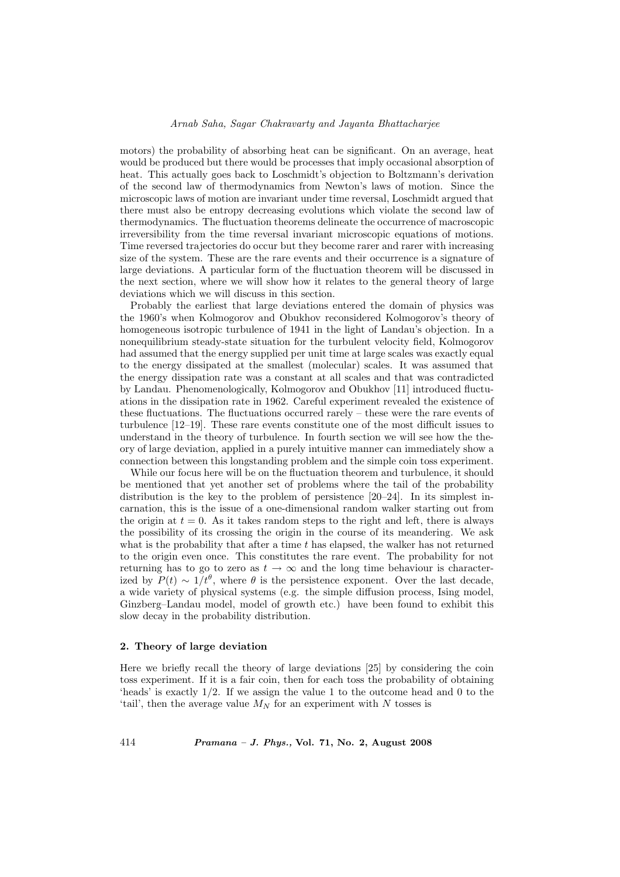#### Arnab Saha, Sagar Chakravarty and Jayanta Bhattacharjee

motors) the probability of absorbing heat can be significant. On an average, heat would be produced but there would be processes that imply occasional absorption of heat. This actually goes back to Loschmidt's objection to Boltzmann's derivation of the second law of thermodynamics from Newton's laws of motion. Since the microscopic laws of motion are invariant under time reversal, Loschmidt argued that there must also be entropy decreasing evolutions which violate the second law of thermodynamics. The fluctuation theorems delineate the occurrence of macroscopic irreversibility from the time reversal invariant microscopic equations of motions. Time reversed trajectories do occur but they become rarer and rarer with increasing size of the system. These are the rare events and their occurrence is a signature of large deviations. A particular form of the fluctuation theorem will be discussed in the next section, where we will show how it relates to the general theory of large deviations which we will discuss in this section.

Probably the earliest that large deviations entered the domain of physics was the 1960's when Kolmogorov and Obukhov reconsidered Kolmogorov's theory of homogeneous isotropic turbulence of 1941 in the light of Landau's objection. In a nonequilibrium steady-state situation for the turbulent velocity field, Kolmogorov had assumed that the energy supplied per unit time at large scales was exactly equal to the energy dissipated at the smallest (molecular) scales. It was assumed that the energy dissipation rate was a constant at all scales and that was contradicted by Landau. Phenomenologically, Kolmogorov and Obukhov [11] introduced fluctuations in the dissipation rate in 1962. Careful experiment revealed the existence of these fluctuations. The fluctuations occurred rarely – these were the rare events of turbulence [12–19]. These rare events constitute one of the most difficult issues to understand in the theory of turbulence. In fourth section we will see how the theory of large deviation, applied in a purely intuitive manner can immediately show a connection between this longstanding problem and the simple coin toss experiment.

While our focus here will be on the fluctuation theorem and turbulence, it should be mentioned that yet another set of problems where the tail of the probability distribution is the key to the problem of persistence [20–24]. In its simplest incarnation, this is the issue of a one-dimensional random walker starting out from the origin at  $t = 0$ . As it takes random steps to the right and left, there is always the possibility of its crossing the origin in the course of its meandering. We ask what is the probability that after a time  $t$  has elapsed, the walker has not returned to the origin even once. This constitutes the rare event. The probability for not returning has to go to zero as  $t \to \infty$  and the long time behaviour is characterized by  $P(t) \sim 1/t^{\theta}$ , where  $\theta$  is the persistence exponent. Over the last decade, a wide variety of physical systems (e.g. the simple diffusion process, Ising model, Ginzberg–Landau model, model of growth etc.) have been found to exhibit this slow decay in the probability distribution.

## 2. Theory of large deviation

Here we briefly recall the theory of large deviations [25] by considering the coin toss experiment. If it is a fair coin, then for each toss the probability of obtaining 'heads' is exactly 1/2. If we assign the value 1 to the outcome head and 0 to the 'tail', then the average value  $M_N$  for an experiment with N tosses is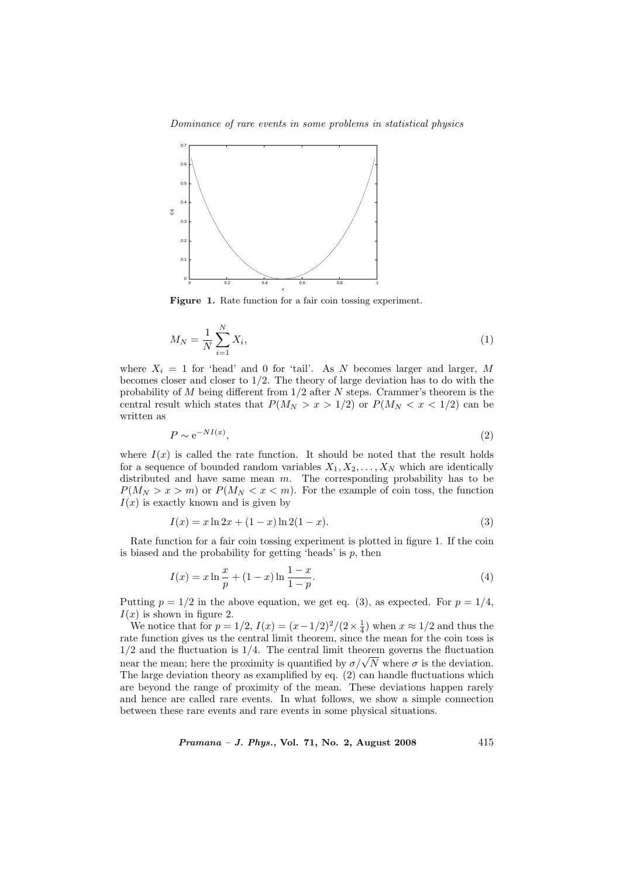Dominance of rare events in some problems in statistical physics



Figure 1. Rate function for a fair coin tossing experiment.

$$
M_N = \frac{1}{N} \sum_{i=1}^{N} X_i,
$$
\n(1)

where  $X_i = 1$  for 'head' and 0 for 'tail'. As N becomes larger and larger, M becomes closer and closer to 1/2. The theory of large deviation has to do with the probability of  $M$  being different from  $1/2$  after  $N$  steps. Crammer's theorem is the central result which states that  $P(M_N > x > 1/2)$  or  $P(M_N < x < 1/2)$  can be written as

$$
P \sim e^{-NI(x)},\tag{2}
$$

where  $I(x)$  is called the rate function. It should be noted that the result holds for a sequence of bounded random variables  $X_1, X_2, \ldots, X_N$  which are identically distributed and have same mean m. The corresponding probability has to be  $P(M_N > x > m)$  or  $P(M_N < x < m)$ . For the example of coin toss, the function  $I(x)$  is exactly known and is given by

$$
I(x) = x \ln 2x + (1 - x) \ln 2(1 - x).
$$
\n(3)

Rate function for a fair coin tossing experiment is plotted in figure 1. If the coin is biased and the probability for getting 'heads' is  $p$ , then

$$
I(x) = x \ln \frac{x}{p} + (1 - x) \ln \frac{1 - x}{1 - p}.
$$
\n(4)

Putting  $p = 1/2$  in the above equation, we get eq. (3), as expected. For  $p = 1/4$ ,  $I(x)$  is shown in figure 2.

We notice that for  $p = 1/2$ ,  $I(x) = (x - 1/2)^2/(2 \times \frac{1}{4})$  when  $x \approx 1/2$  and thus the rate function gives us the central limit theorem, since the mean for the coin toss is  $1/2$  and the fluctuation is  $1/4$ . The central limit theorem governs the fluctuation  $1/2$  and the metuation is  $1/4$ . The central limit theorem governs the intertuation<br>near the mean; here the proximity is quantified by  $\sigma/\sqrt{N}$  where  $\sigma$  is the deviation. The large deviation theory as examplified by eq. (2) can handle fluctuations which are beyond the range of proximity of the mean. These deviations happen rarely and hence are called rare events. In what follows, we show a simple connection between these rare events and rare events in some physical situations.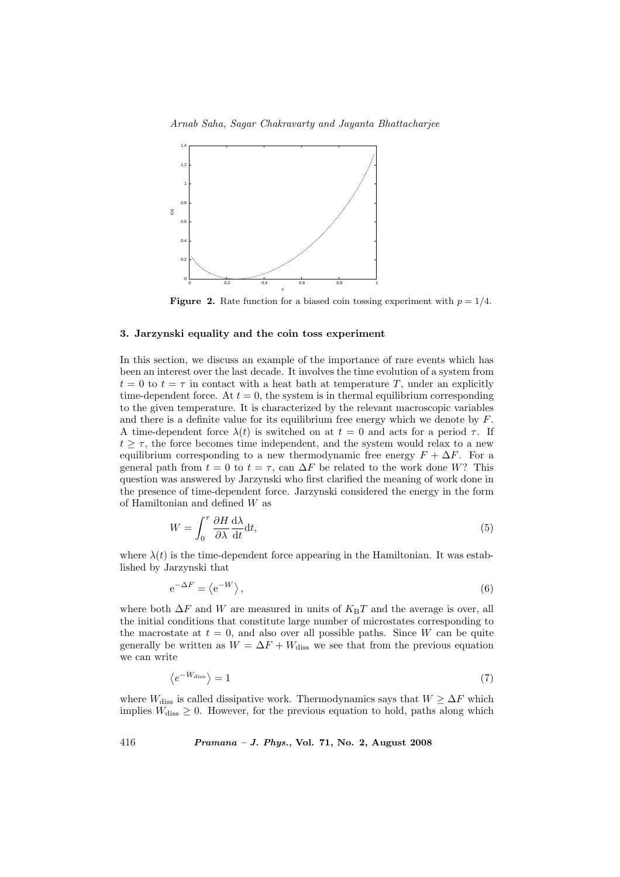Arnab Saha, Sagar Chakravarty and Jayanta Bhattacharjee



**Figure 2.** Rate function for a biased coin tossing experiment with  $p = 1/4$ .

# 3. Jarzynski equality and the coin toss experiment

In this section, we discuss an example of the importance of rare events which has been an interest over the last decade. It involves the time evolution of a system from  $t = 0$  to  $t = \tau$  in contact with a heat bath at temperature T, under an explicitly time-dependent force. At  $t = 0$ , the system is in thermal equilibrium corresponding to the given temperature. It is characterized by the relevant macroscopic variables and there is a definite value for its equilibrium free energy which we denote by  $F$ . A time-dependent force  $\lambda(t)$  is switched on at  $t = 0$  and acts for a period  $\tau$ . If  $t \geq \tau$ , the force becomes time independent, and the system would relax to a new equilibrium corresponding to a new thermodynamic free energy  $F + \Delta F$ . For a general path from  $t = 0$  to  $t = \tau$ , can  $\Delta F$  be related to the work done W? This question was answered by Jarzynski who first clarified the meaning of work done in the presence of time-dependent force. Jarzynski considered the energy in the form of Hamiltonian and defined W as

$$
W = \int_0^\tau \frac{\partial H}{\partial \lambda} \frac{\mathrm{d}\lambda}{\mathrm{d}t} \mathrm{d}t,\tag{5}
$$

where  $\lambda(t)$  is the time-dependent force appearing in the Hamiltonian. It was established by Jarzynski that

$$
e^{-\Delta F} = \langle e^{-W} \rangle, \tag{6}
$$

where both  $\Delta F$  and W are measured in units of  $K_{\rm B}T$  and the average is over, all the initial conditions that constitute large number of microstates corresponding to the macrostate at  $t = 0$ , and also over all possible paths. Since W can be quite generally be written as  $W = \Delta F + W_{\text{diss}}$  we see that from the previous equation we can write

$$
\langle e^{-W_{\text{diss}}} \rangle = 1\tag{7}
$$

where  $W_{\text{diss}}$  is called dissipative work. Thermodynamics says that  $W \geq \Delta F$  which implies  $W_{\text{diss}} \geq 0$ . However, for the previous equation to hold, paths along which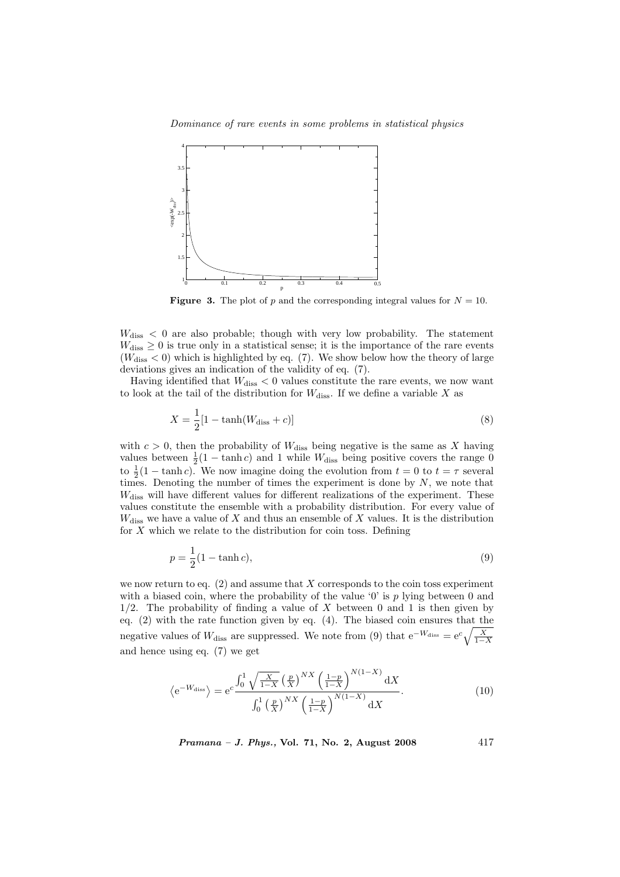Dominance of rare events in some problems in statistical physics



**Figure 3.** The plot of p and the corresponding integral values for  $N = 10$ .

 $W_{\text{diss}} < 0$  are also probable; though with very low probability. The statement  $W_{\text{diss}} \geq 0$  is true only in a statistical sense; it is the importance of the rare events  $(W<sub>diss</sub> < 0)$  which is highlighted by eq. (7). We show below how the theory of large deviations gives an indication of the validity of eq. (7).

Having identified that  $W_{\text{diss}} < 0$  values constitute the rare events, we now want to look at the tail of the distribution for  $W_{\text{diss}}$ . If we define a variable X as

$$
X = \frac{1}{2} [1 - \tanh(W_{\text{diss}} + c)] \tag{8}
$$

with  $c > 0$ , then the probability of  $W_{\text{diss}}$  being negative is the same as X having values between  $\frac{1}{2}(1 - \tanh c)$  and 1 while  $W_{\text{diss}}$  being positive covers the range 0 to  $\frac{1}{2}(1 - \tanh c)$ . We now imagine doing the evolution from  $t = 0$  to  $t = \tau$  several times. Denoting the number of times the experiment is done by  $N$ , we note that  $W<sub>diss</sub>$  will have different values for different realizations of the experiment. These values constitute the ensemble with a probability distribution. For every value of  $W<sub>diss</sub>$  we have a value of X and thus an ensemble of X values. It is the distribution for  $X$  which we relate to the distribution for coin toss. Defining

$$
p = \frac{1}{2}(1 - \tanh c),
$$
\n(9)

we now return to eq.  $(2)$  and assume that X corresponds to the coin toss experiment with a biased coin, where the probability of the value '0' is  $p$  lying between 0 and  $1/2$ . The probability of finding a value of X between 0 and 1 is then given by eq. (2) with the rate function given by eq. (4). The biased coin ensures that the eq. (2) with the rate function given by eq. (4). The blased com ensures that the negative values of  $W_{\text{diss}}$  are suppressed. We note from (9) that  $e^{-W_{\text{diss}}} = e^c \sqrt{\frac{X}{1-X}}$ and hence using eq. (7) we get

$$
\left\langle e^{-W_{\text{diss}}} \right\rangle = e^{c} \frac{\int_{0}^{1} \sqrt{\frac{X}{1-X}} \left(\frac{p}{X}\right)^{NX} \left(\frac{1-p}{1-X}\right)^{N(1-X)} dX}{\int_{0}^{1} \left(\frac{p}{X}\right)^{NX} \left(\frac{1-p}{1-X}\right)^{N(1-X)} dX}.
$$
\n(10)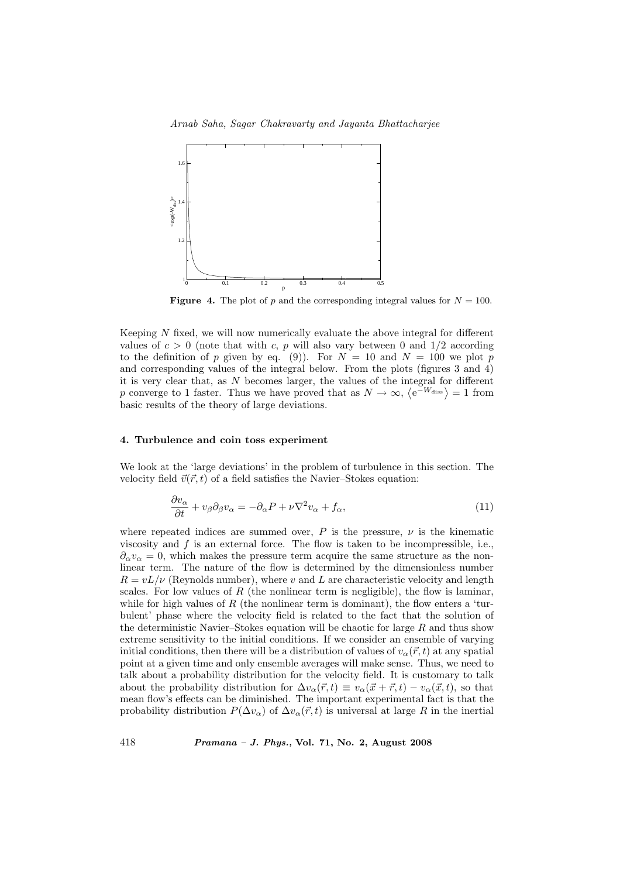Arnab Saha, Sagar Chakravarty and Jayanta Bhattacharjee



**Figure 4.** The plot of p and the corresponding integral values for  $N = 100$ .

Keeping N fixed, we will now numerically evaluate the above integral for different values of  $c > 0$  (note that with c, p will also vary between 0 and  $1/2$  according to the definition of p given by eq. (9)). For  $N = 10$  and  $N = 100$  we plot p and corresponding values of the integral below. From the plots (figures 3 and 4) it is very clear that, as N becomes larger, the values of the integral for different It is very clear that, as N becomes larger, the values of the integral for different p converge to 1 faster. Thus we have proved that as  $N \to \infty$ ,  $\langle e^{-W_{\text{diss}}}\rangle = 1$  from basic results of the theory of large deviations.

# 4. Turbulence and coin toss experiment

We look at the 'large deviations' in the problem of turbulence in this section. The velocity field  $\vec{v}(\vec{r}, t)$  of a field satisfies the Navier–Stokes equation:

$$
\frac{\partial v_{\alpha}}{\partial t} + v_{\beta} \partial_{\beta} v_{\alpha} = -\partial_{\alpha} P + \nu \nabla^2 v_{\alpha} + f_{\alpha}, \qquad (11)
$$

where repeated indices are summed over,  $P$  is the pressure,  $\nu$  is the kinematic viscosity and  $f$  is an external force. The flow is taken to be incompressible, i.e.,  $\partial_{\alpha}v_{\alpha}=0$ , which makes the pressure term acquire the same structure as the nonlinear term. The nature of the flow is determined by the dimensionless number  $R = vL/\nu$  (Reynolds number), where v and L are characteristic velocity and length scales. For low values of  $R$  (the nonlinear term is negligible), the flow is laminar, while for high values of R (the nonlinear term is dominant), the flow enters a 'turbulent' phase where the velocity field is related to the fact that the solution of the deterministic Navier–Stokes equation will be chaotic for large  $R$  and thus show extreme sensitivity to the initial conditions. If we consider an ensemble of varying initial conditions, then there will be a distribution of values of  $v_{\alpha}(\vec{r},t)$  at any spatial point at a given time and only ensemble averages will make sense. Thus, we need to talk about a probability distribution for the velocity field. It is customary to talk about the probability distribution for  $\Delta v_{\alpha}(\vec{r}, t) \equiv v_{\alpha}(\vec{x} + \vec{r}, t) - v_{\alpha}(\vec{x}, t)$ , so that mean flow's effects can be diminished. The important experimental fact is that the probability distribution  $P(\Delta v_{\alpha})$  of  $\Delta v_{\alpha}(\vec{r},t)$  is universal at large R in the inertial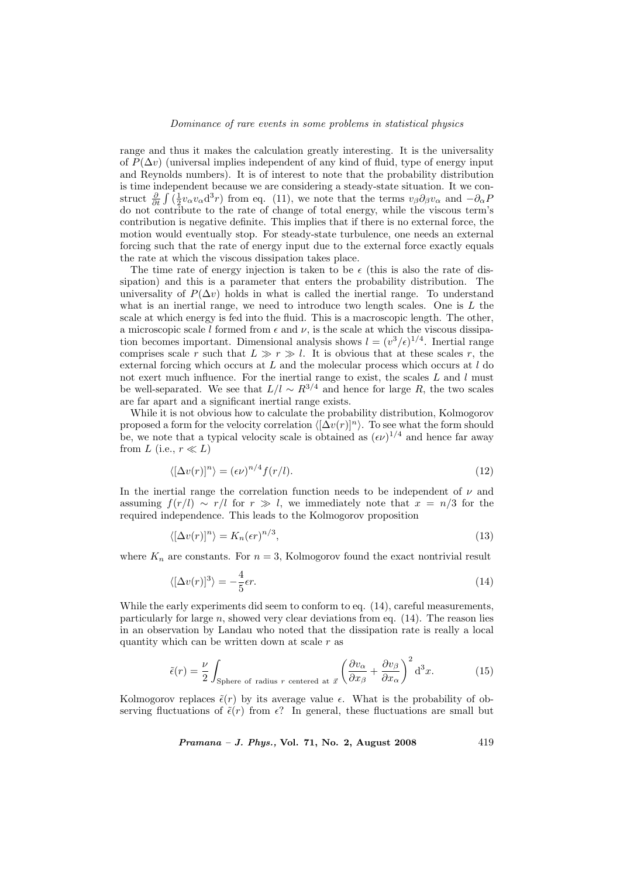range and thus it makes the calculation greatly interesting. It is the universality of  $P(\Delta v)$  (universal implies independent of any kind of fluid, type of energy input and Reynolds numbers). It is of interest to note that the probability distribution is time independent because we are considering a steady-state situation. It we construct  $\frac{\partial}{\partial t} \int (\frac{1}{2}v_{\alpha}v_{\alpha}d^3r)$  from eq. (11), we note that the terms  $v_{\beta}\partial_{\beta}v_{\alpha}$  and  $-\partial_{\alpha}P$ do not contribute to the rate of change of total energy, while the viscous term's contribution is negative definite. This implies that if there is no external force, the motion would eventually stop. For steady-state turbulence, one needs an external forcing such that the rate of energy input due to the external force exactly equals the rate at which the viscous dissipation takes place.

The time rate of energy injection is taken to be  $\epsilon$  (this is also the rate of dissipation) and this is a parameter that enters the probability distribution. The universality of  $P(\Delta v)$  holds in what is called the inertial range. To understand what is an inertial range, we need to introduce two length scales. One is  $L$  the scale at which energy is fed into the fluid. This is a macroscopic length. The other, a microscopic scale l formed from  $\epsilon$  and  $\nu$ , is the scale at which the viscous dissipation becomes important. Dimensional analysis shows  $l = (v^3/\epsilon)^{1/4}$ . Inertial range comprises scale r such that  $L \gg r \gg l$ . It is obvious that at these scales r, the external forcing which occurs at  $L$  and the molecular process which occurs at  $l$  do not exert much influence. For the inertial range to exist, the scales  $L$  and  $l$  must be well-separated. We see that  $L/l \sim R^{3/4}$  and hence for large R, the two scales are far apart and a significant inertial range exists.

While it is not obvious how to calculate the probability distribution, Kolmogorov proposed a form for the velocity correlation  $\langle [\Delta v(r)]^n \rangle$ . To see what the form should be, we note that a typical velocity scale is obtained as  $({\epsilon} \nu)^{1/4}$  and hence far away from L (i.e.,  $r \ll L$ )

$$
\langle [\Delta v(r)]^n \rangle = (\epsilon \nu)^{n/4} f(r/l). \tag{12}
$$

In the inertial range the correlation function needs to be independent of  $\nu$  and assuming  $f(r/l) \sim r/l$  for  $r \gg l$ , we immediately note that  $x = n/3$  for the required independence. This leads to the Kolmogorov proposition

$$
\langle [\Delta v(r)]^n \rangle = K_n(\epsilon r)^{n/3},\tag{13}
$$

where  $K_n$  are constants. For  $n = 3$ , Kolmogorov found the exact nontrivial result

$$
\langle [\Delta v(r)]^3 \rangle = -\frac{4}{5}\epsilon r. \tag{14}
$$

While the early experiments did seem to conform to eq.  $(14)$ , careful measurements, particularly for large  $n$ , showed very clear deviations from eq.  $(14)$ . The reason lies in an observation by Landau who noted that the dissipation rate is really a local quantity which can be written down at scale  $r$  as

$$
\tilde{\epsilon}(r) = \frac{\nu}{2} \int_{\text{Sphere of radius } r \text{ centered at } \vec{x}} \left( \frac{\partial v_{\alpha}}{\partial x_{\beta}} + \frac{\partial v_{\beta}}{\partial x_{\alpha}} \right)^2 \mathbf{d}^3 x. \tag{15}
$$

Kolmogorov replaces  $\tilde{\epsilon}(r)$  by its average value  $\epsilon$ . What is the probability of observing fluctuations of  $\tilde{\epsilon}(r)$  from  $\epsilon$ ? In general, these fluctuations are small but

Pramana – J. Phys., Vol. 71, No. 2, August 2008 419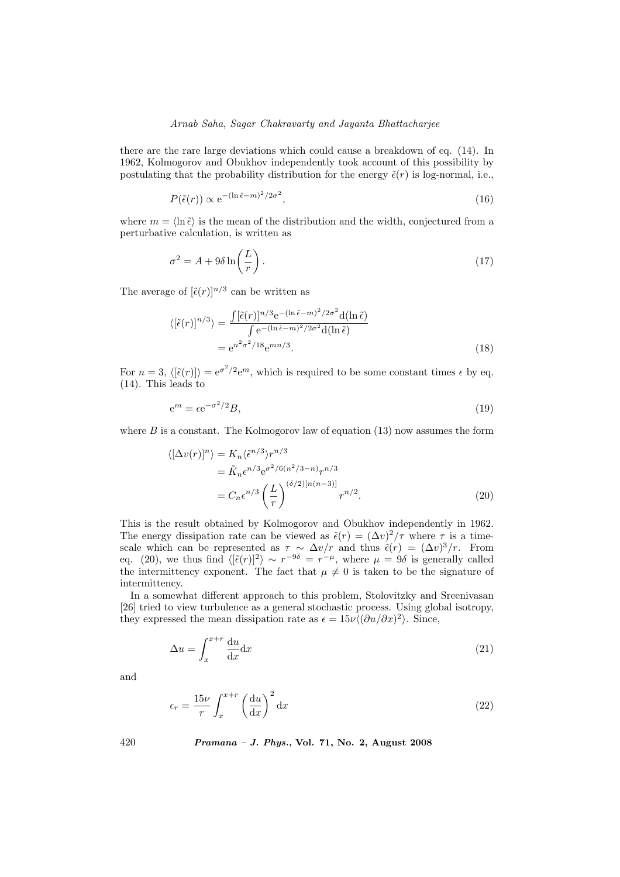#### Arnab Saha, Sagar Chakravarty and Jayanta Bhattacharjee

there are the rare large deviations which could cause a breakdown of eq. (14). In 1962, Kolmogorov and Obukhov independently took account of this possibility by postulating that the probability distribution for the energy  $\tilde{\epsilon}(r)$  is log-normal, i.e.,

$$
P(\tilde{\epsilon}(r)) \propto e^{-(\ln \tilde{\epsilon} - m)^2 / 2\sigma^2},\tag{16}
$$

where  $m = \langle \ln \tilde{\epsilon} \rangle$  is the mean of the distribution and the width, conjectured from a perturbative calculation, is written as

$$
\sigma^2 = A + 9\delta \ln\left(\frac{L}{r}\right). \tag{17}
$$

The average of  $\lbrack \tilde{\epsilon}(r)\rbrack^{n/3}$  can be written as

$$
\langle [\tilde{\epsilon}(r)]^{n/3} \rangle = \frac{\int [\tilde{\epsilon}(r)]^{n/3} e^{-(\ln \tilde{\epsilon} - m)^2/2\sigma^2} d(\ln \tilde{\epsilon})}{\int e^{-(\ln \tilde{\epsilon} - m)^2/2\sigma^2} d(\ln \tilde{\epsilon})}
$$
  
=  $e^{n^2 \sigma^2/18} e^{mn/3}.$  (18)

For  $n = 3$ ,  $\langle [\tilde{\epsilon}(r)] \rangle = e^{\sigma^2/2} e^m$ , which is required to be some constant times  $\epsilon$  by eq. (14). This leads to

$$
e^m = \epsilon e^{-\sigma^2/2} B,\tag{19}
$$

where  $B$  is a constant. The Kolmogorov law of equation (13) now assumes the form

$$
\langle [\Delta v(r)]^n \rangle = K_n \langle \tilde{\epsilon}^{n/3} \rangle r^{n/3}
$$
  
=  $\tilde{K}_n \epsilon^{n/3} e^{\sigma^2/6(n^2/3 - n)} r^{n/3}$   
=  $C_n \epsilon^{n/3} \left( \frac{L}{r} \right)^{(\delta/2) [n(n-3)]} r^{n/2}.$  (20)

This is the result obtained by Kolmogorov and Obukhov independently in 1962. The energy dissipation rate can be viewed as  $\tilde{\epsilon}(r) = (\Delta v)^2 / \tau$  where  $\tau$  is a timescale which can be represented as  $\tau \sim \Delta v/r$  and thus  $\tilde{\epsilon}(r) = (\Delta v)^3/r$ . From eq. (20), we thus find  $\langle |\tilde{\epsilon}(r)|^2 \rangle \sim r^{-9\delta} = r^{-\mu}$ , where  $\mu = 9\delta$  is generally called the intermittency exponent. The fact that  $\mu \neq 0$  is taken to be the signature of intermittency.

In a somewhat different approach to this problem, Stolovitzky and Sreenivasan [26] tried to view turbulence as a general stochastic process. Using global isotropy, they expressed the mean dissipation rate as  $\epsilon = 15\nu \langle (\partial u/\partial x)^2 \rangle$ . Since,

$$
\Delta u = \int_{x}^{x+r} \frac{\mathrm{d}u}{\mathrm{d}x} \mathrm{d}x \tag{21}
$$

and

$$
\epsilon_r = \frac{15\nu}{r} \int_x^{x+r} \left(\frac{\mathrm{d}u}{\mathrm{d}x}\right)^2 \mathrm{d}x \tag{22}
$$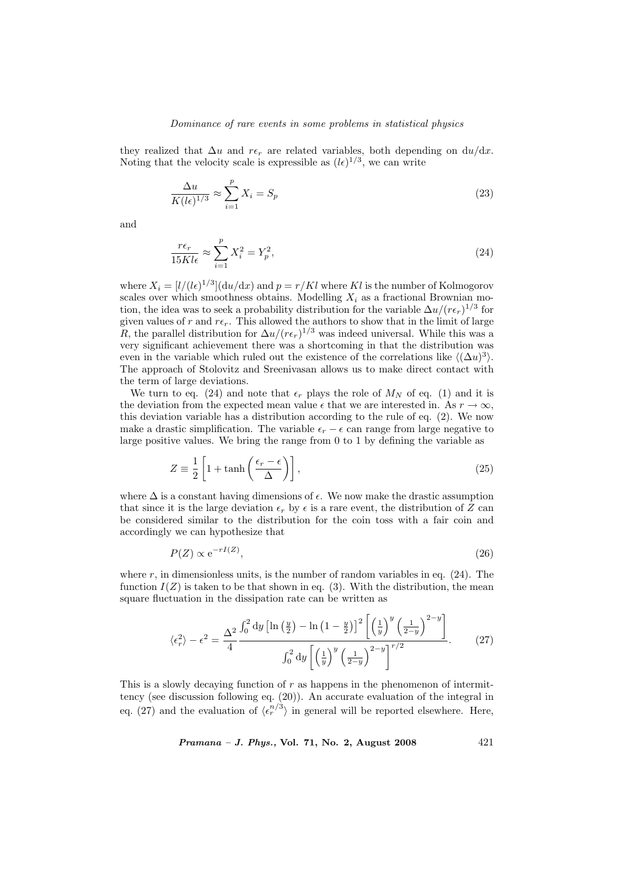# Dominance of rare events in some problems in statistical physics

they realized that  $\Delta u$  and  $r\epsilon_r$  are related variables, both depending on  $du/dx$ . Noting that the velocity scale is expressible as  $(l\epsilon)^{1/3}$ , we can write

$$
\frac{\Delta u}{K(k)^{1/3}} \approx \sum_{i=1}^{p} X_i = S_p \tag{23}
$$

and

$$
\frac{r\epsilon_r}{15Kl\epsilon} \approx \sum_{i=1}^p X_i^2 = Y_p^2,\tag{24}
$$

where  $X_i = [l/(l\epsilon)^{1/3}] (\mathrm{d}u/\mathrm{d}x)$  and  $p = r/Kl$  where Kl is the number of Kolmogorov scales over which smoothness obtains. Modelling  $X_i$  as a fractional Brownian motion, the idea was to seek a probability distribution for the variable  $\Delta u/(r\epsilon_r)^{1/3}$  for given values of r and  $r_{\epsilon r}$ . This allowed the authors to show that in the limit of large R, the parallel distribution for  $\Delta u/(r\epsilon_r)^{1/3}$  was indeed universal. While this was a very significant achievement there was a shortcoming in that the distribution was even in the variable which ruled out the existence of the correlations like  $\langle (\Delta u)^3 \rangle$ . The approach of Stolovitz and Sreenivasan allows us to make direct contact with the term of large deviations.

We turn to eq. (24) and note that  $\epsilon_r$  plays the role of  $M_N$  of eq. (1) and it is the deviation from the expected mean value  $\epsilon$  that we are interested in. As  $r \to \infty$ , this deviation variable has a distribution according to the rule of eq. (2). We now make a drastic simplification. The variable  $\epsilon_r - \epsilon$  can range from large negative to large positive values. We bring the range from 0 to 1 by defining the variable as

$$
Z \equiv \frac{1}{2} \left[ 1 + \tanh\left(\frac{\epsilon_r - \epsilon}{\Delta}\right) \right],\tag{25}
$$

where  $\Delta$  is a constant having dimensions of  $\epsilon$ . We now make the drastic assumption that since it is the large deviation  $\epsilon_r$  by  $\epsilon$  is a rare event, the distribution of Z can be considered similar to the distribution for the coin toss with a fair coin and accordingly we can hypothesize that

$$
P(Z) \propto e^{-rI(Z)},\tag{26}
$$

where  $r$ , in dimensionless units, is the number of random variables in eq.  $(24)$ . The function  $I(Z)$  is taken to be that shown in eq. (3). With the distribution, the mean square fluctuation in the dissipation rate can be written as

$$
\langle \epsilon_r^2 \rangle - \epsilon^2 = \frac{\Delta^2}{4} \frac{\int_0^2 dy \left[ \ln \left( \frac{y}{2} \right) - \ln \left( 1 - \frac{y}{2} \right) \right]^2 \left[ \left( \frac{1}{y} \right)^y \left( \frac{1}{2 - y} \right)^{2 - y} \right]}{\int_0^2 dy \left[ \left( \frac{1}{y} \right)^y \left( \frac{1}{2 - y} \right)^{2 - y} \right]^{r/2}}.
$$
 (27)

This is a slowly decaying function of  $r$  as happens in the phenomenon of intermittency (see discussion following eq. (20)). An accurate evaluation of the integral in eq. (27) and the evaluation of  $\langle \epsilon_r^{n/3} \rangle$  in general will be reported elsewhere. Here,